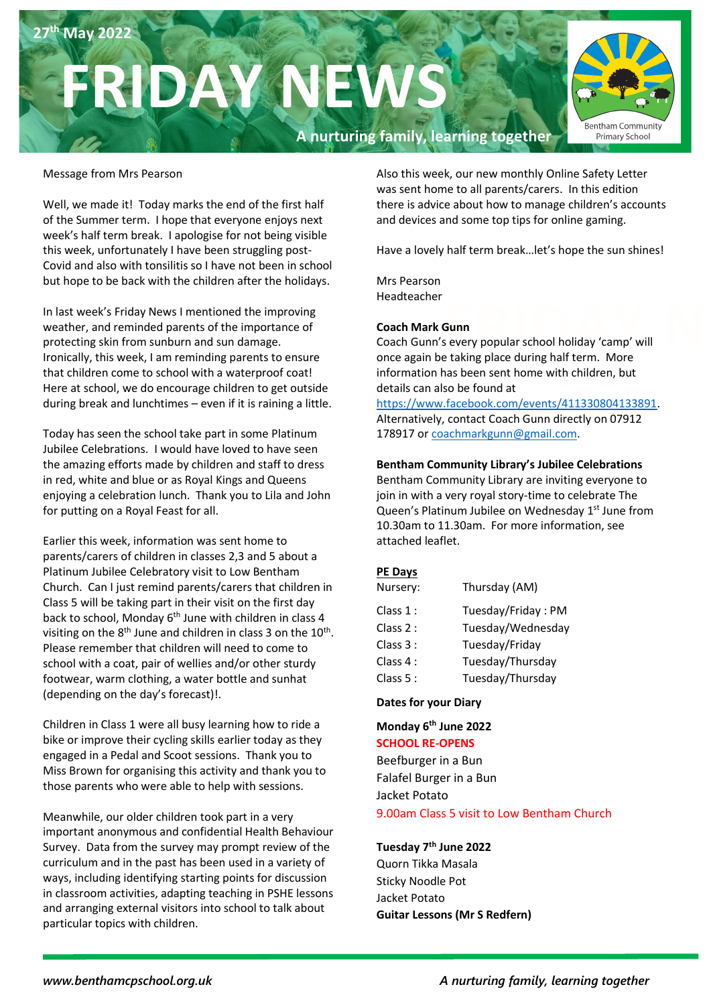

### Message from Mrs Pearson

Well, we made it! Today marks the end of the first half of the Summer term. I hope that everyone enjoys next week's half term break. I apologise for not being visible this week, unfortunately I have been struggling post-Covid and also with tonsilitis so I have not been in school but hope to be back with the children after the holidays.

In last week's Friday News I mentioned the improving weather, and reminded parents of the importance of protecting skin from sunburn and sun damage. Ironically, this week, I am reminding parents to ensure that children come to school with a waterproof coat! Here at school, we do encourage children to get outside during break and lunchtimes – even if it is raining a little.

Today has seen the school take part in some Platinum Jubilee Celebrations. I would have loved to have seen the amazing efforts made by children and staff to dress in red, white and blue or as Royal Kings and Queens enjoying a celebration lunch. Thank you to Lila and John for putting on a Royal Feast for all.

Earlier this week, information was sent home to parents/carers of children in classes 2,3 and 5 about a Platinum Jubilee Celebratory visit to Low Bentham Church. Can I just remind parents/carers that children in Class 5 will be taking part in their visit on the first day back to school, Monday 6<sup>th</sup> June with children in class 4 visiting on the  $8<sup>th</sup>$  June and children in class 3 on the  $10<sup>th</sup>$ . Please remember that children will need to come to school with a coat, pair of wellies and/or other sturdy footwear, warm clothing, a water bottle and sunhat (depending on the day's forecast)!.

Children in Class 1 were all busy learning how to ride a bike or improve their cycling skills earlier today as they engaged in a Pedal and Scoot sessions. Thank you to Miss Brown for organising this activity and thank you to those parents who were able to help with sessions.

Meanwhile, our older children took part in a very important anonymous and confidential Health Behaviour Survey. Data from the survey may prompt review of the curriculum and in the past has been used in a variety of ways, including identifying starting points for discussion in classroom activities, adapting teaching in PSHE lessons and arranging external visitors into school to talk about particular topics with children.

Also this week, our new monthly Online Safety Letter was sent home to all parents/carers. In this edition there is advice about how to manage children's accounts and devices and some top tips for online gaming.

Have a lovely half term break…let's hope the sun shines!

Mrs Pearson Headteacher

## **Coach Mark Gunn**

**Gunn**<br>s every popular school holiday 'camp' will<br>e taking place during half term. More Coach Gunn's every popular school holiday 'camp' will once again be taking place during half term. More information has been sent home with children, but details can also be found at [https://www.facebook.com/events/411330804133891.](https://www.facebook.com/events/411330804133891) Alternatively, contact Coach Gunn directly on 07912 178917 o[r coachmarkgunn@gmail.com.](mailto:coachmarkgunn@gmail.com)

### **Bentham Community Library's Jubilee Celebrations**

Bentham Community Library are inviting everyone to join in with a very royal story-time to celebrate The Queen's Platinum Jubilee on Wednesday 1<sup>st</sup> June from 10.30am to 11.30am. For more information, see attached leaflet.

# **PE Days**

| Nursery:   | Thursday (AM)      |
|------------|--------------------|
| Class 1:   | Tuesday/Friday: PM |
| Class $2:$ | Tuesday/Wednesday  |
| Class $3:$ | Tuesday/Friday     |
| Class $4:$ | Tuesday/Thursday   |
| Class 5:   | Tuesday/Thursday   |

## **Dates for your Diary**

**Monday 6 th June 2022 SCHOOL RE-OPENS** Beefburger in a Bun Falafel Burger in a Bun Jacket Potato

9.00am Class 5 visit to Low Bentham Church

# **Tuesday 7 th June 2022**

Quorn Tikka Masala Sticky Noodle Pot Jacket Potato **Guitar Lessons (Mr S Redfern)**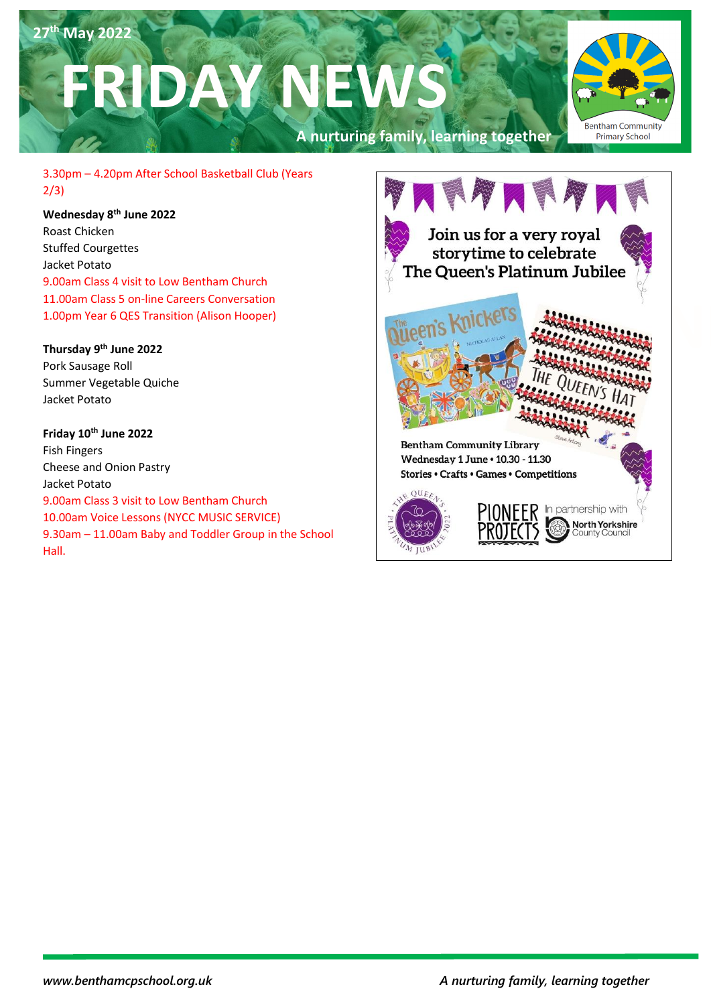

3.30pm – 4.20pm After School Basketball Club (Years 2/3)

**Wednesday 8 th June 2022** Roast Chicken Stuffed Courgettes Jacket Potato 9.00am Class 4 visit to Low Bentham Church 11.00am Class 5 on-line Careers Conversation 1.00pm Year 6 QES Transition (Alison Hooper)

**Thursday 9 th June 2022** Pork Sausage Roll Summer Vegetable Quiche Jacket Potato

**Friday 10th June 2022** Fish Fingers Cheese and Onion Pastry Jacket Potato 9.00am Class 3 visit to Low Bentham Church 10.00am Voice Lessons (NYCC MUSIC SERVICE) 9.30am – 11.00am Baby and Toddler Group in the School Hall.